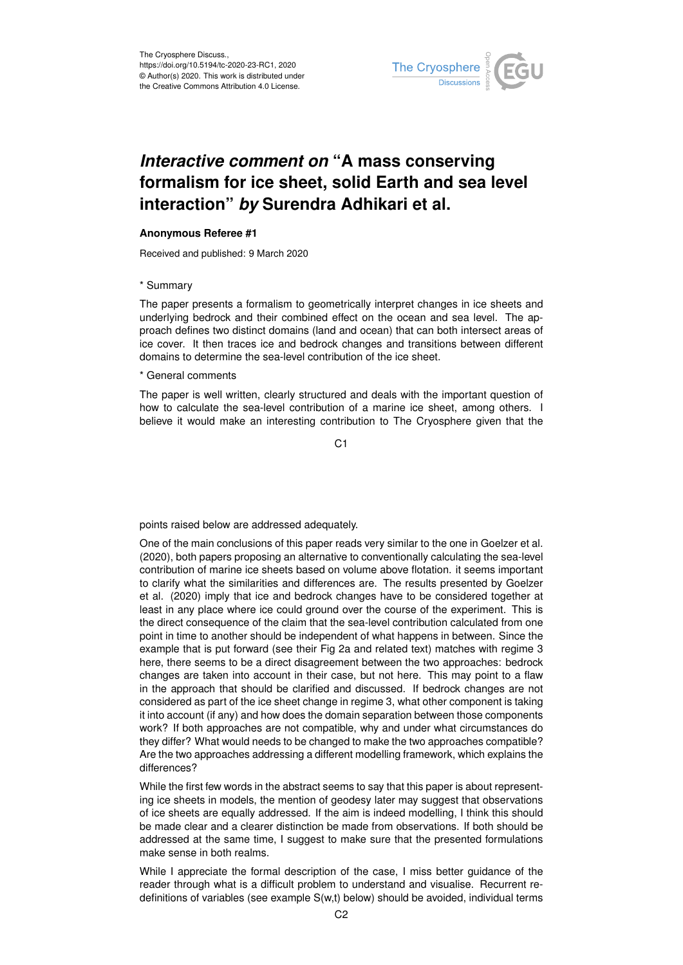

## *Interactive comment on* **"A mass conserving formalism for ice sheet, solid Earth and sea level interaction"** *by* **Surendra Adhikari et al.**

## **Anonymous Referee #1**

Received and published: 9 March 2020

## \* Summary

The paper presents a formalism to geometrically interpret changes in ice sheets and underlying bedrock and their combined effect on the ocean and sea level. The approach defines two distinct domains (land and ocean) that can both intersect areas of ice cover. It then traces ice and bedrock changes and transitions between different domains to determine the sea-level contribution of the ice sheet.

## \* General comments

The paper is well written, clearly structured and deals with the important question of how to calculate the sea-level contribution of a marine ice sheet, among others. I believe it would make an interesting contribution to The Cryosphere given that the

C1

points raised below are addressed adequately.

One of the main conclusions of this paper reads very similar to the one in Goelzer et al. (2020), both papers proposing an alternative to conventionally calculating the sea-level contribution of marine ice sheets based on volume above flotation. it seems important to clarify what the similarities and differences are. The results presented by Goelzer et al. (2020) imply that ice and bedrock changes have to be considered together at least in any place where ice could ground over the course of the experiment. This is the direct consequence of the claim that the sea-level contribution calculated from one point in time to another should be independent of what happens in between. Since the example that is put forward (see their Fig 2a and related text) matches with regime 3 here, there seems to be a direct disagreement between the two approaches: bedrock changes are taken into account in their case, but not here. This may point to a flaw in the approach that should be clarified and discussed. If bedrock changes are not considered as part of the ice sheet change in regime 3, what other component is taking it into account (if any) and how does the domain separation between those components work? If both approaches are not compatible, why and under what circumstances do they differ? What would needs to be changed to make the two approaches compatible? Are the two approaches addressing a different modelling framework, which explains the differences?

While the first few words in the abstract seems to say that this paper is about representing ice sheets in models, the mention of geodesy later may suggest that observations of ice sheets are equally addressed. If the aim is indeed modelling, I think this should be made clear and a clearer distinction be made from observations. If both should be addressed at the same time, I suggest to make sure that the presented formulations make sense in both realms.

While I appreciate the formal description of the case, I miss better guidance of the reader through what is a difficult problem to understand and visualise. Recurrent redefinitions of variables (see example S(w,t) below) should be avoided, individual terms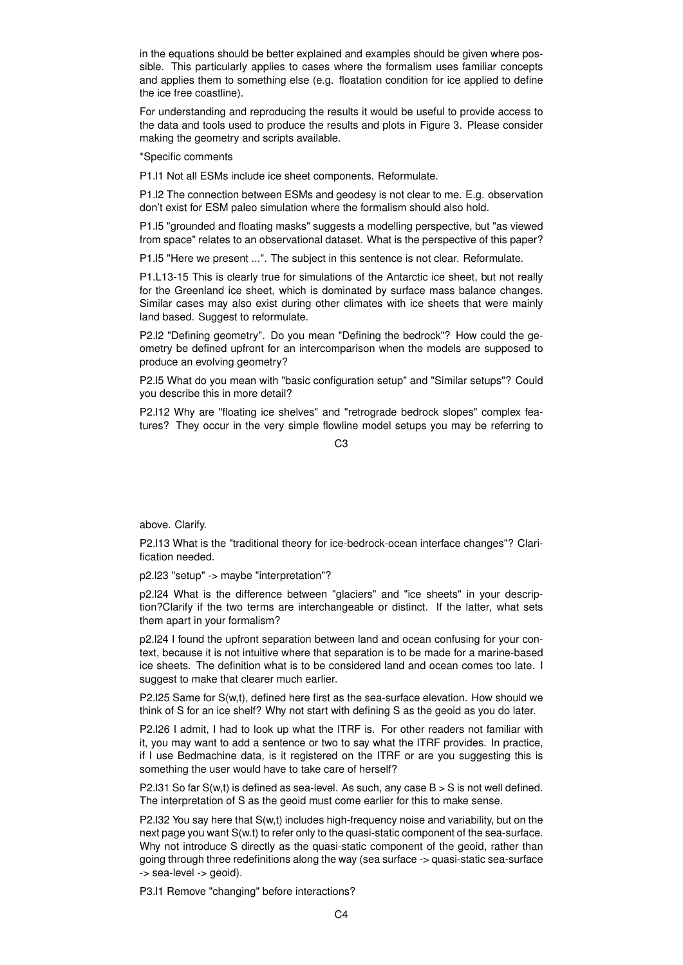in the equations should be better explained and examples should be given where possible. This particularly applies to cases where the formalism uses familiar concepts and applies them to something else (e.g. floatation condition for ice applied to define the ice free coastline).

For understanding and reproducing the results it would be useful to provide access to the data and tools used to produce the results and plots in Figure 3. Please consider making the geometry and scripts available.

\*Specific comments

P1.l1 Not all ESMs include ice sheet components. Reformulate.

P1.l2 The connection between ESMs and geodesy is not clear to me. E.g. observation don't exist for ESM paleo simulation where the formalism should also hold.

P1.l5 "grounded and floating masks" suggests a modelling perspective, but "as viewed from space" relates to an observational dataset. What is the perspective of this paper?

P1.l5 "Here we present ...". The subject in this sentence is not clear. Reformulate.

P1.L13-15 This is clearly true for simulations of the Antarctic ice sheet, but not really for the Greenland ice sheet, which is dominated by surface mass balance changes. Similar cases may also exist during other climates with ice sheets that were mainly land based. Suggest to reformulate.

P2.l2 "Defining geometry". Do you mean "Defining the bedrock"? How could the geometry be defined upfront for an intercomparison when the models are supposed to produce an evolving geometry?

P2.l5 What do you mean with "basic configuration setup" and "Similar setups"? Could you describe this in more detail?

P2.l12 Why are "floating ice shelves" and "retrograde bedrock slopes" complex features? They occur in the very simple flowline model setups you may be referring to

 $C<sub>3</sub>$ 

above. Clarify.

P2.l13 What is the "traditional theory for ice-bedrock-ocean interface changes"? Clarification needed.

p2.l23 "setup" -> maybe "interpretation"?

p2.l24 What is the difference between "glaciers" and "ice sheets" in your description?Clarify if the two terms are interchangeable or distinct. If the latter, what sets them apart in your formalism?

p2.l24 I found the upfront separation between land and ocean confusing for your context, because it is not intuitive where that separation is to be made for a marine-based ice sheets. The definition what is to be considered land and ocean comes too late. I suggest to make that clearer much earlier.

P2.l25 Same for S(w,t), defined here first as the sea-surface elevation. How should we think of S for an ice shelf? Why not start with defining S as the geoid as you do later.

P2.l26 I admit, I had to look up what the ITRF is. For other readers not familiar with it, you may want to add a sentence or two to say what the ITRF provides. In practice, if I use Bedmachine data, is it registered on the ITRF or are you suggesting this is something the user would have to take care of herself?

P2.l31 So far  $S(w,t)$  is defined as sea-level. As such, any case  $B > S$  is not well defined. The interpretation of S as the geoid must come earlier for this to make sense.

P2.l32 You say here that S(w,t) includes high-frequency noise and variability, but on the next page you want S(w.t) to refer only to the quasi-static component of the sea-surface. Why not introduce S directly as the quasi-static component of the geoid, rather than going through three redefinitions along the way (sea surface -> quasi-static sea-surface -> sea-level -> geoid).

P3.l1 Remove "changing" before interactions?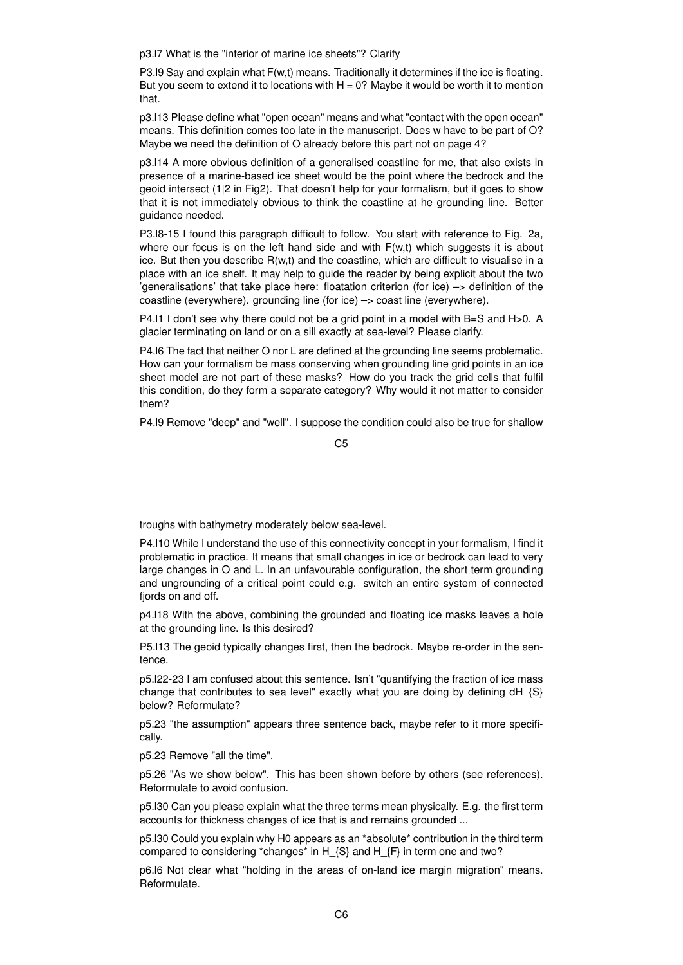p3.l7 What is the "interior of marine ice sheets"? Clarify

P3.l9 Say and explain what F(w,t) means. Traditionally it determines if the ice is floating. But you seem to extend it to locations with  $H = 0$ ? Maybe it would be worth it to mention that.

p3.l13 Please define what "open ocean" means and what "contact with the open ocean" means. This definition comes too late in the manuscript. Does w have to be part of O? Maybe we need the definition of O already before this part not on page 4?

p3.l14 A more obvious definition of a generalised coastline for me, that also exists in presence of a marine-based ice sheet would be the point where the bedrock and the geoid intersect (1|2 in Fig2). That doesn't help for your formalism, but it goes to show that it is not immediately obvious to think the coastline at he grounding line. Better guidance needed.

P3.l8-15 I found this paragraph difficult to follow. You start with reference to Fig. 2a, where our focus is on the left hand side and with  $F(w,t)$  which suggests it is about ice. But then you describe R(w,t) and the coastline, which are difficult to visualise in a place with an ice shelf. It may help to guide the reader by being explicit about the two 'generalisations' that take place here: floatation criterion (for ice) –> definition of the coastline (everywhere). grounding line (for ice) –> coast line (everywhere).

P4.l1 I don't see why there could not be a grid point in a model with B=S and H>0. A glacier terminating on land or on a sill exactly at sea-level? Please clarify.

P4.l6 The fact that neither O nor L are defined at the grounding line seems problematic. How can your formalism be mass conserving when grounding line grid points in an ice sheet model are not part of these masks? How do you track the grid cells that fulfil this condition, do they form a separate category? Why would it not matter to consider them?

P4.l9 Remove "deep" and "well". I suppose the condition could also be true for shallow

 $C<sub>5</sub>$ 

troughs with bathymetry moderately below sea-level.

P4.l10 While I understand the use of this connectivity concept in your formalism, I find it problematic in practice. It means that small changes in ice or bedrock can lead to very large changes in O and L. In an unfavourable configuration, the short term grounding and ungrounding of a critical point could e.g. switch an entire system of connected fiords on and off.

p4.l18 With the above, combining the grounded and floating ice masks leaves a hole at the grounding line. Is this desired?

P5.l13 The geoid typically changes first, then the bedrock. Maybe re-order in the sentence.

p5.l22-23 I am confused about this sentence. Isn't "quantifying the fraction of ice mass change that contributes to sea level" exactly what you are doing by defining dH  $\{S\}$ below? Reformulate?

p5.23 "the assumption" appears three sentence back, maybe refer to it more specifically.

p5.23 Remove "all the time".

p5.26 "As we show below". This has been shown before by others (see references). Reformulate to avoid confusion.

p5.l30 Can you please explain what the three terms mean physically. E.g. the first term accounts for thickness changes of ice that is and remains grounded ...

p5. 130 Could you explain why H0 appears as an \*absolute\* contribution in the third term compared to considering \*changes\* in H\_{S} and H\_{F} in term one and two?

p6.l6 Not clear what "holding in the areas of on-land ice margin migration" means. Reformulate.